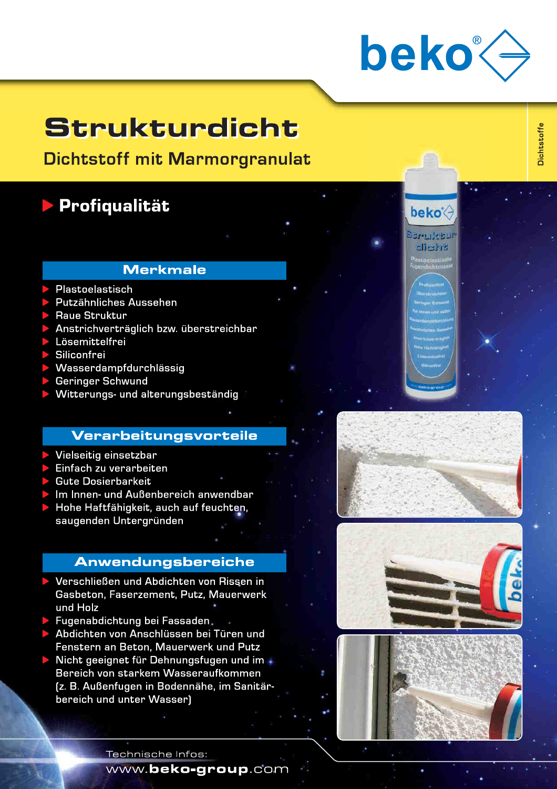

**beko** 

**BEPT RUBBI** -li-t-re

**Dichtstoffe** 

## Strukturdicht

**Dichtstoff mit Marmorgranulat** 

### **Profiqualität**

### Merkmale

- Plastoelastisch
- Putzähnliches Aussehen
- Raue Struktur
- Anstrichverträglich bzw. überstreichbar
- Lösemittelfrei
- Siliconfrei
- Wasserdampfdurchlässig
- **Geringer Schwund**
- Witterungs- und alterungsbeständig

#### **Verarbeitungsvorteile**

- Vielseitig einsetzbar
- Einfach zu verarbeiten
- **Gute Dosierbarkeit**
- Im Innen- und Außenbereich anwendbar
- Hohe Haftfähigkeit, auch auf feuchten, saugenden Untergründen

#### **Anwendungsbereiche**

- Verschließen und Abdichten von Rissen in Gasbeton, Faserzement, Putz, Mauerwerk und Holz
- Fugenabdichtung bei Fassaden.
- Abdichten von Anschlüssen bei Türen und Fenstern an Beton, Mauerwerk und Putz
- Nicht geeignet für Dehnungsfugen und im Bereich von starkem Wasseraufkommen [z. B. Außenfugen in Bodennähe, im Sanitärbereich und unter Wasser]





Technische Infos:

www.beko-group.com